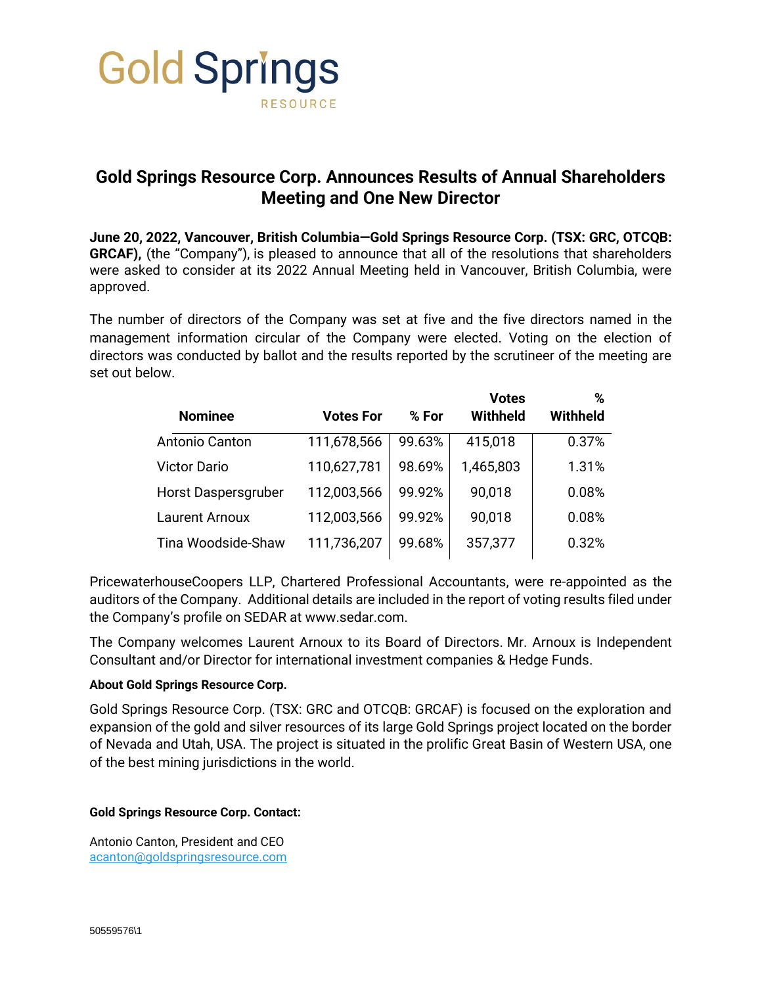

## **Gold Springs Resource Corp. Announces Results of Annual Shareholders Meeting and One New Director**

**June 20, 2022, Vancouver, British Columbia—Gold Springs Resource Corp. (TSX: GRC, OTCQB: GRCAF),** (the "Company"), is pleased to announce that all of the resolutions that shareholders were asked to consider at its 2022 Annual Meeting held in Vancouver, British Columbia, were approved.

The number of directors of the Company was set at five and the five directors named in the management information circular of the Company were elected. Voting on the election of directors was conducted by ballot and the results reported by the scrutineer of the meeting are set out below.

|                       |                  |        | <b>Votes</b>    | %               |
|-----------------------|------------------|--------|-----------------|-----------------|
| <b>Nominee</b>        | <b>Votes For</b> | % For  | <b>Withheld</b> | <b>Withheld</b> |
| Antonio Canton        | 111,678,566      | 99.63% | 415,018         | 0.37%           |
| <b>Victor Dario</b>   | 110,627,781      | 98.69% | 1,465,803       | 1.31%           |
| Horst Daspersgruber   | 112,003,566      | 99.92% | 90,018          | 0.08%           |
| <b>Laurent Arnoux</b> | 112,003,566      | 99.92% | 90,018          | 0.08%           |
| Tina Woodside-Shaw    | 111,736,207      | 99.68% | 357,377         | 0.32%           |

PricewaterhouseCoopers LLP, Chartered Professional Accountants, were re-appointed as the auditors of the Company. Additional details are included in the report of voting results filed under the Company's profile on SEDAR at www.sedar.com.

The Company welcomes Laurent Arnoux to its Board of Directors. Mr. Arnoux is Independent Consultant and/or Director for international investment companies & Hedge Funds.

## **About Gold Springs Resource Corp.**

Gold Springs Resource Corp. (TSX: GRC and OTCQB: GRCAF) is focused on the exploration and expansion of the gold and silver resources of its large Gold Springs project located on the border of Nevada and Utah, USA. The project is situated in the prolific Great Basin of Western USA, one of the best mining jurisdictions in the world.

## **Gold Springs Resource Corp. Contact:**

Antonio Canton, President and CEO [acanton@goldspringsresource.com](mailto:acanton@goldspringsresource.com)